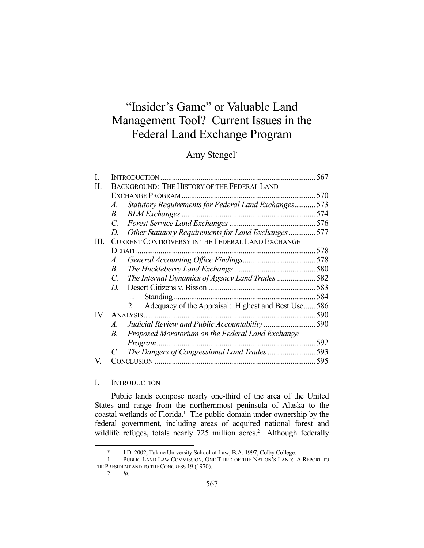# "Insider's Game" or Valuable Land Management Tool? Current Issues in the Federal Land Exchange Program

# Amy Stengel\*

|               |                                                  |                                                            | 567 |
|---------------|--------------------------------------------------|------------------------------------------------------------|-----|
| Н.            |                                                  | <b>BACKGROUND: THE HISTORY OF THE FEDERAL LAND</b>         |     |
|               | <b>EXCHANGE PROGRAM.</b>                         |                                                            | 570 |
|               | A.                                               | Statutory Requirements for Federal Land Exchanges          | 573 |
|               | B.                                               |                                                            | 574 |
|               | C.                                               |                                                            |     |
|               | D.                                               | Other Statutory Requirements for Land Exchanges 577        |     |
| III.          | CURRENT CONTROVERSY IN THE FEDERAL LAND EXCHANGE |                                                            |     |
|               |                                                  |                                                            |     |
|               | A.                                               |                                                            |     |
|               | В.                                               |                                                            |     |
|               | C.                                               | The Internal Dynamics of Agency Land Trades 582            |     |
|               | D.                                               |                                                            |     |
|               |                                                  | 1.                                                         | 584 |
|               |                                                  | Adequacy of the Appraisal: Highest and Best Use  586<br>2. |     |
| $\mathbf{IV}$ |                                                  |                                                            | 590 |
|               | $\mathcal{A}_{-}$                                |                                                            | 590 |
|               | В.                                               | Proposed Moratorium on the Federal Land Exchange           |     |
|               |                                                  | Program.                                                   | 592 |
|               |                                                  |                                                            | 593 |
| V.            |                                                  |                                                            |     |

# I. INTRODUCTION

 Public lands compose nearly one-third of the area of the United States and range from the northernmost peninsula of Alaska to the coastal wetlands of Florida.<sup>1</sup> The public domain under ownership by the federal government, including areas of acquired national forest and wildlife refuges, totals nearly 725 million acres.<sup>2</sup> Although federally

 <sup>\*</sup> J.D. 2002, Tulane University School of Law; B.A. 1997, Colby College.

 <sup>1.</sup> PUBLIC LAND LAW COMMISSION, ONE THIRD OF THE NATION'S LAND: A REPORT TO THE PRESIDENT AND TO THE CONGRESS 19 (1970).

 <sup>2.</sup> *Id.*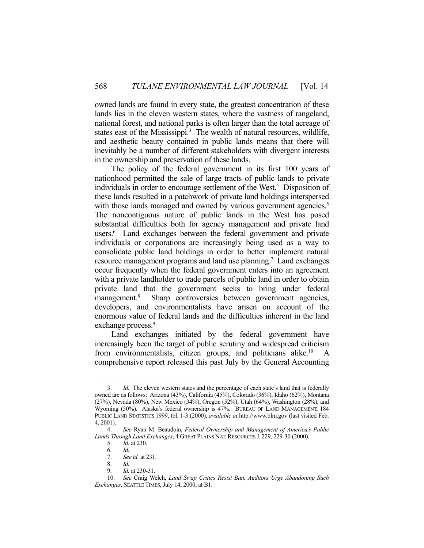owned lands are found in every state, the greatest concentration of these lands lies in the eleven western states, where the vastness of rangeland, national forest, and national parks is often larger than the total acreage of states east of the Mississippi. $3$  The wealth of natural resources, wildlife, and aesthetic beauty contained in public lands means that there will inevitably be a number of different stakeholders with divergent interests in the ownership and preservation of these lands.

 The policy of the federal government in its first 100 years of nationhood permitted the sale of large tracts of public lands to private individuals in order to encourage settlement of the West.4 Disposition of these lands resulted in a patchwork of private land holdings interspersed with those lands managed and owned by various government agencies.<sup>5</sup> The noncontiguous nature of public lands in the West has posed substantial difficulties both for agency management and private land users.<sup>6</sup> Land exchanges between the federal government and private individuals or corporations are increasingly being used as a way to consolidate public land holdings in order to better implement natural resource management programs and land use planning.<sup>7</sup> Land exchanges occur frequently when the federal government enters into an agreement with a private landholder to trade parcels of public land in order to obtain private land that the government seeks to bring under federal management.<sup>8</sup> Sharp controversies between government agencies, developers, and environmentalists have arisen on account of the enormous value of federal lands and the difficulties inherent in the land exchange process.<sup>9</sup>

 Land exchanges initiated by the federal government have increasingly been the target of public scrutiny and widespread criticism from environmentalists, citizen groups, and politicians alike.<sup>10</sup> comprehensive report released this past July by the General Accounting

 <sup>3.</sup> *Id.* The eleven western states and the percentage of each state's land that is federally owned are as follows: Arizona (43%), California (45%), Colorado (36%), Idaho (62%), Montana (27%), Nevada (80%), New Mexico (34%), Oregon (52%), Utah (64%), Washington (28%), and Wyoming (50%). Alaska's federal ownership is 47%. BUREAU OF LAND MANAGEMENT, 184 PUBLIC LAND STATISTICS 1999, tbl. 1-3 (2000), *available at* http://www.blm.gov (last visited Feb. 4, 2001).

 <sup>4.</sup> *See* Ryan M. Beaudoin, *Federal Ownership and Management of America's Public Lands Through Land Exchanges*, 4 GREAT PLAINS NAT.RESOURCES J. 229, 229-30 (2000).

 <sup>5.</sup> *Id.* at 230.

 <sup>6.</sup> *Id.*

 <sup>7.</sup> *See id.* at 231.

 <sup>8.</sup> *Id.*

 <sup>9.</sup> *Id.* at 230-31.

 <sup>10.</sup> *See* Craig Welch, *Land Swap Critics Resist Ban, Auditors Urge Abandoning Such Exchanges*, SEATTLE TIMES, July 14, 2000, at B1.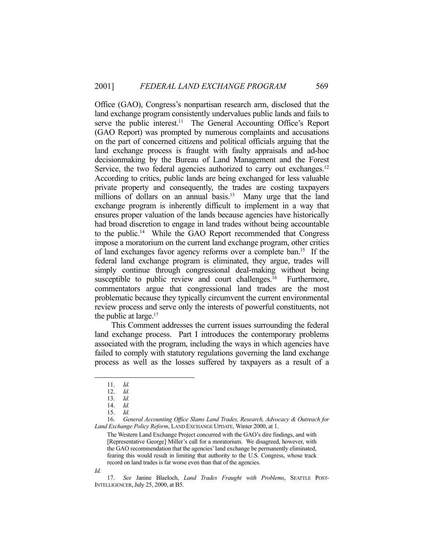Office (GAO), Congress's nonpartisan research arm, disclosed that the land exchange program consistently undervalues public lands and fails to serve the public interest.<sup>11</sup> The General Accounting Office's Report (GAO Report) was prompted by numerous complaints and accusations on the part of concerned citizens and political officials arguing that the land exchange process is fraught with faulty appraisals and ad-hoc decisionmaking by the Bureau of Land Management and the Forest Service, the two federal agencies authorized to carry out exchanges.<sup>12</sup> According to critics, public lands are being exchanged for less valuable private property and consequently, the trades are costing taxpayers millions of dollars on an annual basis.<sup>13</sup> Many urge that the land exchange program is inherently difficult to implement in a way that ensures proper valuation of the lands because agencies have historically had broad discretion to engage in land trades without being accountable to the public.14 While the GAO Report recommended that Congress impose a moratorium on the current land exchange program, other critics of land exchanges favor agency reforms over a complete ban.15 If the federal land exchange program is eliminated, they argue, trades will simply continue through congressional deal-making without being susceptible to public review and court challenges.<sup>16</sup> Furthermore, commentators argue that congressional land trades are the most problematic because they typically circumvent the current environmental review process and serve only the interests of powerful constituents, not the public at large. $17$ 

 This Comment addresses the current issues surrounding the federal land exchange process. Part I introduces the contemporary problems associated with the program, including the ways in which agencies have failed to comply with statutory regulations governing the land exchange process as well as the losses suffered by taxpayers as a result of a

 16. *General Accounting Office Slams Land Trades, Research, Advocacy & Outreach for Land Exchange Policy Reform*, LAND EXCHANGE UPDATE, Winter 2000, at 1.

The Western Land Exchange Project concurred with the GAO's dire findings, and with [Representative George] Miller's call for a moratorium. We disagreed, however, with the GAO recommendation that the agencies' land exchange be permanently eliminated, fearing this would result in limiting that authority to the U.S. Congress, whose track record on land trades is far worse even than that of the agencies.

*Id.*

<u>.</u>

 17. *See* Janine Blaeloch, *Land Trades Fraught with Problems*, SEATTLE POST-INTELLIGENCER,July 25, 2000, at B5.

 <sup>11.</sup> *Id.*

 <sup>12.</sup> *Id.*

 <sup>13.</sup> *Id.*

 <sup>14.</sup> *Id.*

 <sup>15.</sup> *Id.*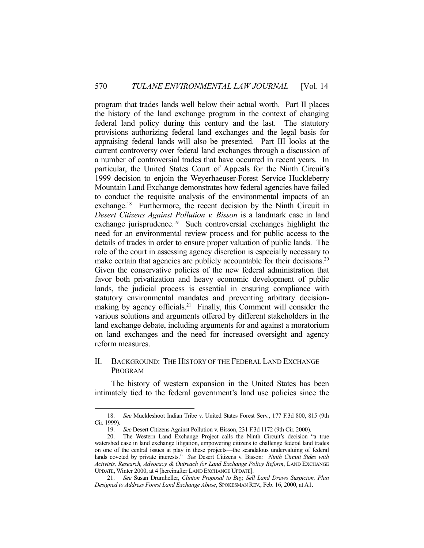program that trades lands well below their actual worth. Part II places the history of the land exchange program in the context of changing federal land policy during this century and the last. The statutory provisions authorizing federal land exchanges and the legal basis for appraising federal lands will also be presented. Part III looks at the current controversy over federal land exchanges through a discussion of a number of controversial trades that have occurred in recent years. In particular, the United States Court of Appeals for the Ninth Circuit's 1999 decision to enjoin the Weyerhaeuser-Forest Service Huckleberry Mountain Land Exchange demonstrates how federal agencies have failed to conduct the requisite analysis of the environmental impacts of an exchange.<sup>18</sup> Furthermore, the recent decision by the Ninth Circuit in *Desert Citizens Against Pollution v. Bisson* is a landmark case in land exchange jurisprudence.19 Such controversial exchanges highlight the need for an environmental review process and for public access to the details of trades in order to ensure proper valuation of public lands. The role of the court in assessing agency discretion is especially necessary to make certain that agencies are publicly accountable for their decisions.<sup>20</sup> Given the conservative policies of the new federal administration that favor both privatization and heavy economic development of public lands, the judicial process is essential in ensuring compliance with statutory environmental mandates and preventing arbitrary decisionmaking by agency officials.<sup>21</sup> Finally, this Comment will consider the various solutions and arguments offered by different stakeholders in the land exchange debate, including arguments for and against a moratorium on land exchanges and the need for increased oversight and agency reform measures.

# II. BACKGROUND: THE HISTORY OF THE FEDERAL LAND EXCHANGE PROGRAM

 The history of western expansion in the United States has been intimately tied to the federal government's land use policies since the

 <sup>18.</sup> *See* Muckleshoot Indian Tribe v. United States Forest Serv., 177 F.3d 800, 815 (9th Cir. 1999).

 <sup>19.</sup> *See* Desert Citizens Against Pollution v. Bisson, 231 F.3d 1172 (9th Cir. 2000).

 <sup>20.</sup> The Western Land Exchange Project calls the Ninth Circuit's decision "a true watershed case in land exchange litigation, empowering citizens to challenge federal land trades on one of the central issues at play in these projects—the scandalous undervaluing of federal lands coveted by private interests." *See* Desert Citizens v. Bisson*: Ninth Circuit Sides with Activists, Research, Advocacy & Outreach for Land Exchange Policy Reform*, LAND EXCHANGE UPDATE, Winter 2000, at 4 [hereinafter LAND EXCHANGE UPDATE].

 <sup>21.</sup> *See* Susan Drumheller, *Clinton Proposal to Buy, Sell Land Draws Suspicion, Plan Designed to Address Forest Land Exchange Abuse*, SPOKESMAN REV., Feb. 16, 2000, at A1.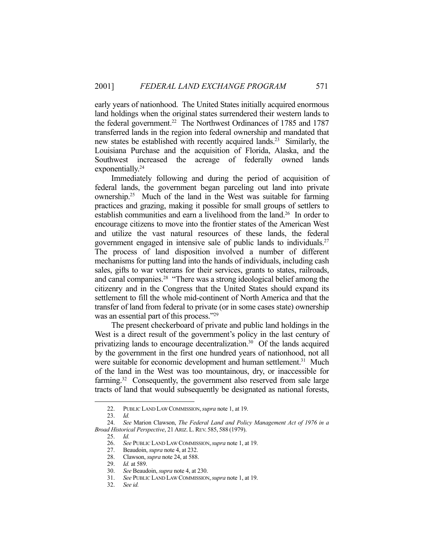early years of nationhood. The United States initially acquired enormous land holdings when the original states surrendered their western lands to the federal government.<sup>22</sup> The Northwest Ordinances of 1785 and 1787 transferred lands in the region into federal ownership and mandated that new states be established with recently acquired lands.<sup>23</sup> Similarly, the Louisiana Purchase and the acquisition of Florida, Alaska, and the Southwest increased the acreage of federally owned lands exponentially.<sup>24</sup>

 Immediately following and during the period of acquisition of federal lands, the government began parceling out land into private ownership.25 Much of the land in the West was suitable for farming practices and grazing, making it possible for small groups of settlers to establish communities and earn a livelihood from the land.<sup>26</sup> In order to encourage citizens to move into the frontier states of the American West and utilize the vast natural resources of these lands, the federal government engaged in intensive sale of public lands to individuals.27 The process of land disposition involved a number of different mechanisms for putting land into the hands of individuals, including cash sales, gifts to war veterans for their services, grants to states, railroads, and canal companies.28 "There was a strong ideological belief among the citizenry and in the Congress that the United States should expand its settlement to fill the whole mid-continent of North America and that the transfer of land from federal to private (or in some cases state) ownership was an essential part of this process."<sup>29</sup>

 The present checkerboard of private and public land holdings in the West is a direct result of the government's policy in the last century of privatizing lands to encourage decentralization.<sup>30</sup> Of the lands acquired by the government in the first one hundred years of nationhood, not all were suitable for economic development and human settlement.<sup>31</sup> Much of the land in the West was too mountainous, dry, or inaccessible for farming.<sup>32</sup> Consequently, the government also reserved from sale large tracts of land that would subsequently be designated as national forests,

 <sup>22.</sup> PUBLIC LAND LAW COMMISSION,*supra* note 1, at 19.

 <sup>23.</sup> *Id.*

 <sup>24.</sup> *See* Marion Clawson, *The Federal Land and Policy Management Act of 1976 in a Broad Historical Perspective*, 21 ARIZ. L.REV. 585, 588 (1979).

 <sup>25.</sup> *Id.*

 <sup>26.</sup> *See* PUBLIC LAND LAW COMMISSION,*supra* note 1, at 19.

 <sup>27.</sup> Beaudoin, *supra* note 4, at 232.

 <sup>28.</sup> Clawson, *supra* note 24, at 588.

 <sup>29.</sup> *Id.* at 589.

 <sup>30.</sup> *See* Beaudoin, *supra* note 4, at 230.

 <sup>31.</sup> *See* PUBLIC LAND LAW COMMISSION,*supra* note 1, at 19.

 <sup>32.</sup> *See id.*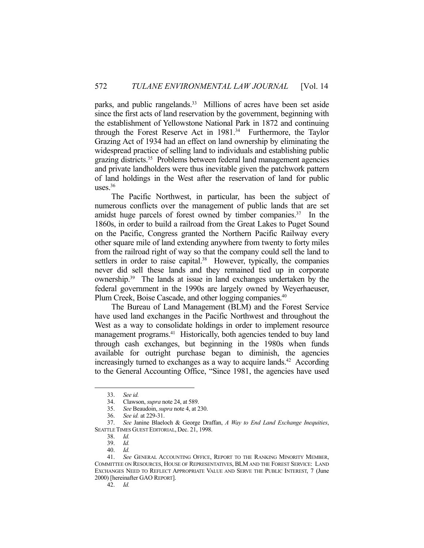parks, and public rangelands.<sup>33</sup> Millions of acres have been set aside since the first acts of land reservation by the government, beginning with the establishment of Yellowstone National Park in 1872 and continuing through the Forest Reserve Act in 1981.34 Furthermore, the Taylor Grazing Act of 1934 had an effect on land ownership by eliminating the widespread practice of selling land to individuals and establishing public grazing districts.35 Problems between federal land management agencies and private landholders were thus inevitable given the patchwork pattern of land holdings in the West after the reservation of land for public uses.36

 The Pacific Northwest, in particular, has been the subject of numerous conflicts over the management of public lands that are set amidst huge parcels of forest owned by timber companies.<sup>37</sup> In the 1860s, in order to build a railroad from the Great Lakes to Puget Sound on the Pacific, Congress granted the Northern Pacific Railway every other square mile of land extending anywhere from twenty to forty miles from the railroad right of way so that the company could sell the land to settlers in order to raise capital.<sup>38</sup> However, typically, the companies never did sell these lands and they remained tied up in corporate ownership.39 The lands at issue in land exchanges undertaken by the federal government in the 1990s are largely owned by Weyerhaeuser, Plum Creek, Boise Cascade, and other logging companies.<sup>40</sup>

 The Bureau of Land Management (BLM) and the Forest Service have used land exchanges in the Pacific Northwest and throughout the West as a way to consolidate holdings in order to implement resource management programs.<sup>41</sup> Historically, both agencies tended to buy land through cash exchanges, but beginning in the 1980s when funds available for outright purchase began to diminish, the agencies increasingly turned to exchanges as a way to acquire lands.<sup>42</sup> According to the General Accounting Office, "Since 1981, the agencies have used

1

42. *Id.* 

 <sup>33.</sup> *See id.*

 <sup>34.</sup> Clawson, *supra* note 24, at 589.

 <sup>35.</sup> *See* Beaudoin, *supra* note 4, at 230.

 <sup>36.</sup> *See id.* at 229-31.

 <sup>37.</sup> *See* Janine Blaeloch & George Draffan, *A Way to End Land Exchange Inequities*, SEATTLE TIMES GUEST EDITORIAL, Dec. 21, 1998.

 <sup>38.</sup> *Id.*

 <sup>39.</sup> *Id.*

 <sup>40.</sup> *Id.*

 <sup>41.</sup> *See* GENERAL ACCOUNTING OFFICE, REPORT TO THE RANKING MINORITY MEMBER, COMMITTEE ON RESOURCES, HOUSE OF REPRESENTATIVES, BLM AND THE FOREST SERVICE: LAND EXCHANGES NEED TO REFLECT APPROPRIATE VALUE AND SERVE THE PUBLIC INTEREST, 7 (June 2000) [hereinafter GAO REPORT].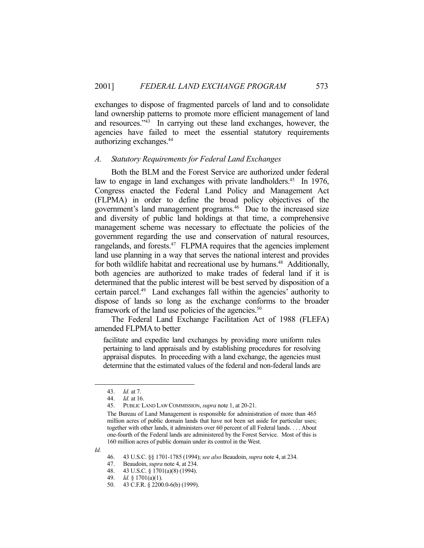exchanges to dispose of fragmented parcels of land and to consolidate land ownership patterns to promote more efficient management of land and resources."43 In carrying out these land exchanges, however, the agencies have failed to meet the essential statutory requirements authorizing exchanges.44

#### *A. Statutory Requirements for Federal Land Exchanges*

 Both the BLM and the Forest Service are authorized under federal law to engage in land exchanges with private landholders.<sup>45</sup> In 1976, Congress enacted the Federal Land Policy and Management Act (FLPMA) in order to define the broad policy objectives of the government's land management programs.<sup>46</sup> Due to the increased size and diversity of public land holdings at that time, a comprehensive management scheme was necessary to effectuate the policies of the government regarding the use and conservation of natural resources, rangelands, and forests.<sup>47</sup> FLPMA requires that the agencies implement land use planning in a way that serves the national interest and provides for both wildlife habitat and recreational use by humans.<sup>48</sup> Additionally, both agencies are authorized to make trades of federal land if it is determined that the public interest will be best served by disposition of a certain parcel.49 Land exchanges fall within the agencies' authority to dispose of lands so long as the exchange conforms to the broader framework of the land use policies of the agencies.<sup>50</sup>

 The Federal Land Exchange Facilitation Act of 1988 (FLEFA) amended FLPMA to better

facilitate and expedite land exchanges by providing more uniform rules pertaining to land appraisals and by establishing procedures for resolving appraisal disputes. In proceeding with a land exchange, the agencies must determine that the estimated values of the federal and non-federal lands are

 <sup>43.</sup> *Id.* at 7.

*Id.* at 16.

 <sup>45.</sup> PUBLIC LAND LAW COMMISSION, *supra* note 1, at 20-21.

The Bureau of Land Management is responsible for administration of more than 465 million acres of public domain lands that have not been set aside for particular uses; together with other lands, it administers over 60 percent of all Federal lands. . . . About one-fourth of the Federal lands are administered by the Forest Service. Most of this is 160 million acres of public domain under its control in the West.

*Id.*

 <sup>46. 43</sup> U.S.C. §§ 1701-1785 (1994); *see also* Beaudoin, *supra* note 4, at 234.

 <sup>47.</sup> Beaudoin, *supra* note 4, at 234.

 <sup>48. 43</sup> U.S.C. § 1701(a)(8) (1994).

 <sup>49.</sup> *Id.* § 1701(a)(1).

 <sup>50. 43</sup> C.F.R. § 2200.0-6(b) (1999).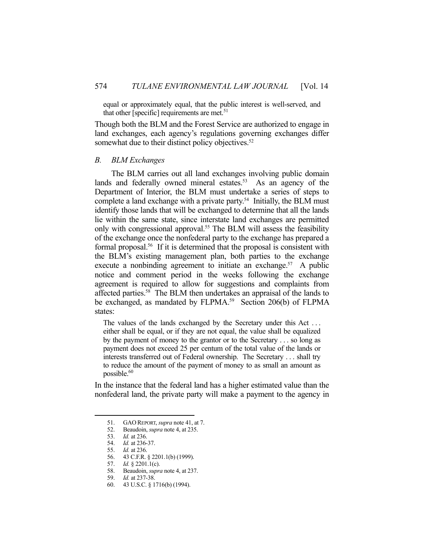equal or approximately equal, that the public interest is well-served, and that other [specific] requirements are met.<sup>51</sup>

Though both the BLM and the Forest Service are authorized to engage in land exchanges, each agency's regulations governing exchanges differ somewhat due to their distinct policy objectives.<sup>52</sup>

#### *B. BLM Exchanges*

 The BLM carries out all land exchanges involving public domain lands and federally owned mineral estates.<sup>53</sup> As an agency of the Department of Interior, the BLM must undertake a series of steps to complete a land exchange with a private party.<sup>54</sup> Initially, the BLM must identify those lands that will be exchanged to determine that all the lands lie within the same state, since interstate land exchanges are permitted only with congressional approval.55 The BLM will assess the feasibility of the exchange once the nonfederal party to the exchange has prepared a formal proposal.<sup>56</sup> If it is determined that the proposal is consistent with the BLM's existing management plan, both parties to the exchange execute a nonbinding agreement to initiate an exchange.<sup>57</sup> A public notice and comment period in the weeks following the exchange agreement is required to allow for suggestions and complaints from affected parties.<sup>58</sup> The BLM then undertakes an appraisal of the lands to be exchanged, as mandated by FLPMA.<sup>59</sup> Section 206(b) of FLPMA states:

The values of the lands exchanged by the Secretary under this Act ... either shall be equal, or if they are not equal, the value shall be equalized by the payment of money to the grantor or to the Secretary . . . so long as payment does not exceed 25 per centum of the total value of the lands or interests transferred out of Federal ownership. The Secretary . . . shall try to reduce the amount of the payment of money to as small an amount as possible.<sup>60</sup>

In the instance that the federal land has a higher estimated value than the nonfederal land, the private party will make a payment to the agency in

1

57. *Id.* § 2201.1(c).

 <sup>51.</sup> GAO REPORT, *supra* note 41, at 7.

 <sup>52.</sup> Beaudoin, *supra* note 4, at 235.

 <sup>53.</sup> *Id.* at 236.

 <sup>54.</sup> *Id.* at 236-37.

 <sup>55.</sup> *Id.* at 236.

 <sup>56. 43</sup> C.F.R. § 2201.1(b) (1999).

 <sup>58.</sup> Beaudoin, *supra* note 4, at 237.

 <sup>59.</sup> *Id.* at 237-38.

 <sup>60. 43</sup> U.S.C. § 1716(b) (1994).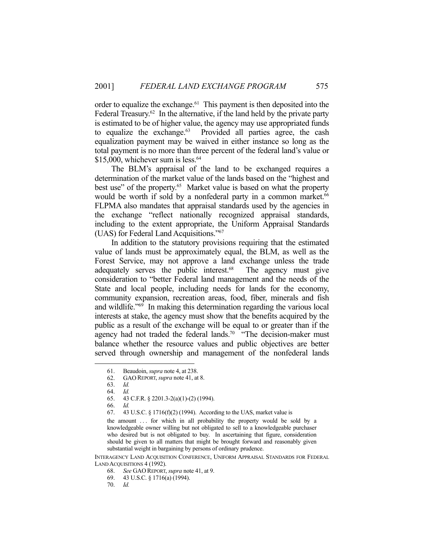order to equalize the exchange. $61$  This payment is then deposited into the Federal Treasury. $62$  In the alternative, if the land held by the private party is estimated to be of higher value, the agency may use appropriated funds to equalize the exchange. $63$  Provided all parties agree, the cash equalization payment may be waived in either instance so long as the total payment is no more than three percent of the federal land's value or  $$15,000$ , whichever sum is less.<sup>64</sup>

 The BLM's appraisal of the land to be exchanged requires a determination of the market value of the lands based on the "highest and best use" of the property.<sup>65</sup> Market value is based on what the property would be worth if sold by a nonfederal party in a common market. 66 FLPMA also mandates that appraisal standards used by the agencies in the exchange "reflect nationally recognized appraisal standards, including to the extent appropriate, the Uniform Appraisal Standards (UAS) for Federal Land Acquisitions."67

 In addition to the statutory provisions requiring that the estimated value of lands must be approximately equal, the BLM, as well as the Forest Service, may not approve a land exchange unless the trade adequately serves the public interest.<sup>68</sup> The agency must give consideration to "better Federal land management and the needs of the State and local people, including needs for lands for the economy, community expansion, recreation areas, food, fiber, minerals and fish and wildlife."69 In making this determination regarding the various local interests at stake, the agency must show that the benefits acquired by the public as a result of the exchange will be equal to or greater than if the agency had not traded the federal lands.<sup>70</sup> "The decision-maker must balance whether the resource values and public objectives are better served through ownership and management of the nonfederal lands

<u>.</u>

INTERAGENCY LAND ACQUISITION CONFERENCE, UNIFORM APPRAISAL STANDARDS FOR FEDERAL LAND ACQUISITIONS 4 (1992).

 <sup>61.</sup> Beaudoin, *supra* note 4, at 238.

 <sup>62.</sup> GAO REPORT, *supra* note 41, at 8.

 <sup>63.</sup> *Id.*

 <sup>64.</sup> *Id.*

 <sup>65. 43</sup> C.F.R. § 2201.3-2(a)(1)-(2) (1994).

 <sup>66.</sup> *Id.*

 <sup>67. 43</sup> U.S.C. § 1716(f)(2) (1994). According to the UAS, market value is

the amount ... for which in all probability the property would be sold by a knowledgeable owner willing but not obligated to sell to a knowledgeable purchaser who desired but is not obligated to buy. In ascertaining that figure, consideration should be given to all matters that might be brought forward and reasonably given substantial weight in bargaining by persons of ordinary prudence.

 <sup>68.</sup> *See* GAO REPORT, *supra* note 41, at 9.

 <sup>69. 43</sup> U.S.C. § 1716(a) (1994).

 <sup>70.</sup> *Id.*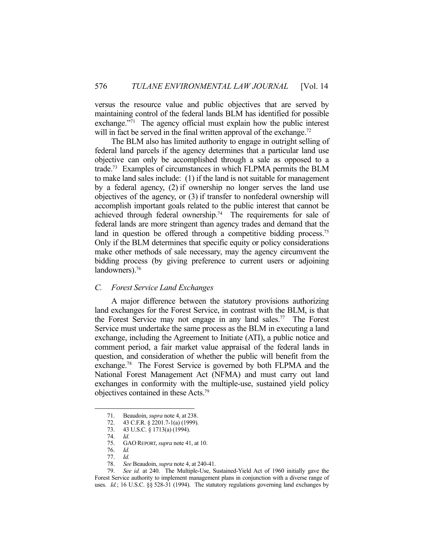versus the resource value and public objectives that are served by maintaining control of the federal lands BLM has identified for possible exchange."71 The agency official must explain how the public interest will in fact be served in the final written approval of the exchange.<sup>72</sup>

 The BLM also has limited authority to engage in outright selling of federal land parcels if the agency determines that a particular land use objective can only be accomplished through a sale as opposed to a trade.73 Examples of circumstances in which FLPMA permits the BLM to make land sales include: (1) if the land is not suitable for management by a federal agency, (2) if ownership no longer serves the land use objectives of the agency, or (3) if transfer to nonfederal ownership will accomplish important goals related to the public interest that cannot be achieved through federal ownership.<sup>74</sup> The requirements for sale of federal lands are more stringent than agency trades and demand that the land in question be offered through a competitive bidding process.<sup>75</sup> Only if the BLM determines that specific equity or policy considerations make other methods of sale necessary, may the agency circumvent the bidding process (by giving preference to current users or adjoining landowners).<sup>76</sup>

#### *C. Forest Service Land Exchanges*

 A major difference between the statutory provisions authorizing land exchanges for the Forest Service, in contrast with the BLM, is that the Forest Service may not engage in any land sales.77 The Forest Service must undertake the same process as the BLM in executing a land exchange, including the Agreement to Initiate (ATI), a public notice and comment period, a fair market value appraisal of the federal lands in question, and consideration of whether the public will benefit from the exchange.78 The Forest Service is governed by both FLPMA and the National Forest Management Act (NFMA) and must carry out land exchanges in conformity with the multiple-use, sustained yield policy objectives contained in these Acts.79

<u>.</u>

78. *See* Beaudoin, *supra* note 4, at 240-41.

 <sup>71.</sup> Beaudoin, *supra* note 4, at 238.

 <sup>72. 43</sup> C.F.R. § 2201.7-1(a) (1999).

 <sup>73. 43</sup> U.S.C. § 1713(a) (1994).

 <sup>74.</sup> *Id.*

 <sup>75.</sup> GAO REPORT, *supra* note 41, at 10.

 <sup>76.</sup> *Id.*

 <sup>77.</sup> *Id.*

 <sup>79.</sup> *See id.* at 240. The Multiple-Use, Sustained-Yield Act of 1960 initially gave the Forest Service authority to implement management plans in conjunction with a diverse range of uses. *Id.*; 16 U.S.C. §§ 528-31 (1994). The statutory regulations governing land exchanges by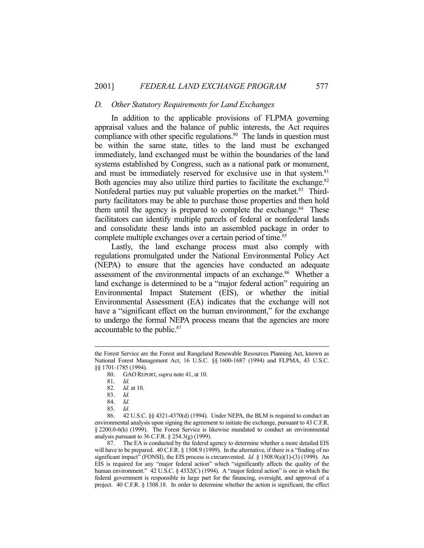#### *D. Other Statutory Requirements for Land Exchanges*

 In addition to the applicable provisions of FLPMA governing appraisal values and the balance of public interests, the Act requires compliance with other specific regulations. $80$  The lands in question must be within the same state, titles to the land must be exchanged immediately, land exchanged must be within the boundaries of the land systems established by Congress, such as a national park or monument, and must be immediately reserved for exclusive use in that system.<sup>81</sup> Both agencies may also utilize third parties to facilitate the exchange.<sup>82</sup> Nonfederal parties may put valuable properties on the market.<sup>83</sup> Thirdparty facilitators may be able to purchase those properties and then hold them until the agency is prepared to complete the exchange.<sup>84</sup> These facilitators can identify multiple parcels of federal or nonfederal lands and consolidate these lands into an assembled package in order to complete multiple exchanges over a certain period of time.<sup>85</sup>

 Lastly, the land exchange process must also comply with regulations promulgated under the National Environmental Policy Act (NEPA) to ensure that the agencies have conducted an adequate assessment of the environmental impacts of an exchange.<sup>86</sup> Whether a land exchange is determined to be a "major federal action" requiring an Environmental Impact Statement (EIS), or whether the initial Environmental Assessment (EA) indicates that the exchange will not have a "significant effect on the human environment," for the exchange to undergo the formal NEPA process means that the agencies are more accountable to the public.87

 87. The EA is conducted by the federal agency to determine whether a more detailed EIS will have to be prepared. 40 C.F.R. § 1508.9 (1999). In the alternative, if there is a "finding of no significant impact" (FONSI), the EIS process is circumvented. *Id.* § 1508.9(a)(1)-(3) (1999). An EIS is required for any "major federal action" which "significantly affects the quality of the human environment." 42 U.S.C. § 4332(C) (1994). A "major federal action" is one in which the federal government is responsible in large part for the financing, oversight, and approval of a project. 40 C.F.R. § 1508.18. In order to determine whether the action is significant, the effect

the Forest Service are the Forest and Rangeland Renewable Resources Planning Act, known as National Forest Management Act, 16 U.S.C. §§ 1600-1687 (1994) and FLPMA, 43 U.S.C. §§ 1701-1785 (1994).

 <sup>80.</sup> GAO REPORT, *supra* note 41, at 10.

 <sup>81.</sup> *Id.*

 <sup>82.</sup> *Id.* at 10.

 <sup>83.</sup> *Id.*

 <sup>84.</sup> *Id.*

 <sup>85.</sup> *Id.*

 <sup>86. 42</sup> U.S.C. §§ 4321-4370(d) (1994). Under NEPA, the BLM is required to conduct an environmental analysis upon signing the agreement to initiate the exchange, pursuant to 43 C.F.R. § 2200.0-6(h) (1999). The Forest Service is likewise mandated to conduct an environmental analysis pursuant to 36 C.F.R. § 254.3(g) (1999).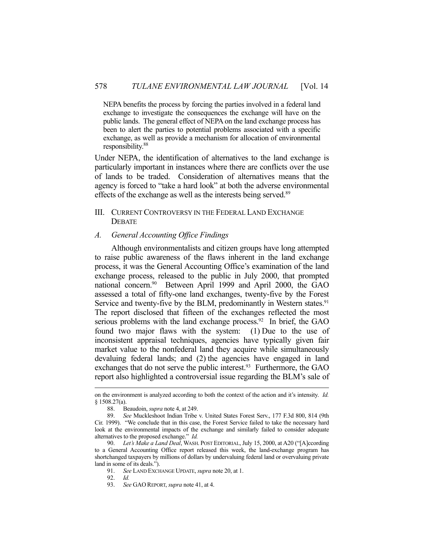NEPA benefits the process by forcing the parties involved in a federal land exchange to investigate the consequences the exchange will have on the public lands. The general effect of NEPA on the land exchange process has been to alert the parties to potential problems associated with a specific exchange, as well as provide a mechanism for allocation of environmental responsibility.88

Under NEPA, the identification of alternatives to the land exchange is particularly important in instances where there are conflicts over the use of lands to be traded. Consideration of alternatives means that the agency is forced to "take a hard look" at both the adverse environmental effects of the exchange as well as the interests being served.<sup>89</sup>

# III. CURRENT CONTROVERSY IN THE FEDERAL LAND EXCHANGE **DEBATE**

#### *A. General Accounting Office Findings*

 Although environmentalists and citizen groups have long attempted to raise public awareness of the flaws inherent in the land exchange process, it was the General Accounting Office's examination of the land exchange process, released to the public in July 2000, that prompted national concern.90 Between April 1999 and April 2000, the GAO assessed a total of fifty-one land exchanges, twenty-five by the Forest Service and twenty-five by the BLM, predominantly in Western states.<sup>91</sup> The report disclosed that fifteen of the exchanges reflected the most serious problems with the land exchange process.<sup>92</sup> In brief, the GAO found two major flaws with the system: (1) Due to the use of inconsistent appraisal techniques, agencies have typically given fair market value to the nonfederal land they acquire while simultaneously devaluing federal lands; and (2) the agencies have engaged in land exchanges that do not serve the public interest.<sup>93</sup> Furthermore, the GAO report also highlighted a controversial issue regarding the BLM's sale of

on the environment is analyzed according to both the context of the action and it's intensity. *Id.* § 1508.27(a).

 <sup>88.</sup> Beaudoin, *supra* note 4, at 249.

 <sup>89.</sup> *See* Muckleshoot Indian Tribe v. United States Forest Serv., 177 F.3d 800, 814 (9th Cir. 1999). "We conclude that in this case, the Forest Service failed to take the necessary hard look at the environmental impacts of the exchange and similarly failed to consider adequate alternatives to the proposed exchange." *Id.*

 <sup>90.</sup> *Let's Make a Land Deal*, WASH. POST EDITORIAL, July 15, 2000, at A20 ("[A]ccording to a General Accounting Office report released this week, the land-exchange program has shortchanged taxpayers by millions of dollars by undervaluing federal land or overvaluing private land in some of its deals.").

 <sup>91.</sup> *See* LAND EXCHANGE UPDATE, *supra* note 20, at 1.

 <sup>92.</sup> *Id.*

 <sup>93.</sup> *See* GAO REPORT, *supra* note 41, at 4.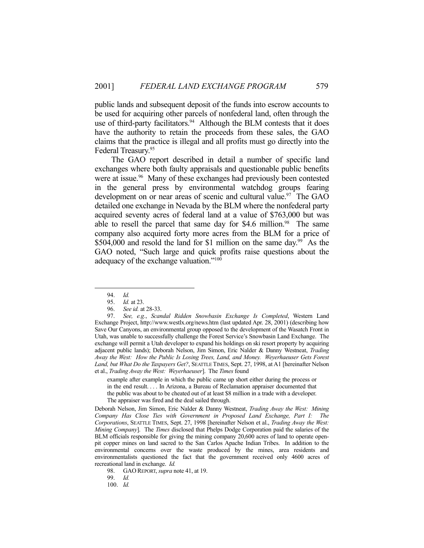public lands and subsequent deposit of the funds into escrow accounts to be used for acquiring other parcels of nonfederal land, often through the use of third-party facilitators. $94$  Although the BLM contests that it does have the authority to retain the proceeds from these sales, the GAO claims that the practice is illegal and all profits must go directly into the Federal Treasury.95

 The GAO report described in detail a number of specific land exchanges where both faulty appraisals and questionable public benefits were at issue.<sup>96</sup> Many of these exchanges had previously been contested in the general press by environmental watchdog groups fearing development on or near areas of scenic and cultural value.<sup>97</sup> The GAO detailed one exchange in Nevada by the BLM where the nonfederal party acquired seventy acres of federal land at a value of \$763,000 but was able to resell the parcel that same day for  $$4.6$  million.<sup>98</sup> The same company also acquired forty more acres from the BLM for a price of \$504,000 and resold the land for \$1 million on the same day.<sup>99</sup> As the GAO noted, "Such large and quick profits raise questions about the adequacy of the exchange valuation."100

1

example after example in which the public came up short either during the process or in the end result. . . . In Arizona, a Bureau of Reclamation appraiser documented that the public was about to be cheated out of at least \$8 million in a trade with a developer. The appraiser was fired and the deal sailed through.

Deborah Nelson, Jim Simon, Eric Nalder & Danny Westneat, *Trading Away the West: Mining Company Has Close Ties with Government in Proposed Land Exchange, Part I: The Corporations*, SEATTLE TIMES, Sept. 27, 1998 [hereinafter Nelson et al., *Trading Away the West: Mining Company*]. The *Times* disclosed that Phelps Dodge Corporation paid the salaries of the BLM officials responsible for giving the mining company 20,600 acres of land to operate openpit copper mines on land sacred to the San Carlos Apache Indian Tribes. In addition to the environmental concerns over the waste produced by the mines, area residents and environmentalists questioned the fact that the government received only 4600 acres of recreational land in exchange. *Id.*

98. GAO REPORT, *supra* note 41, at 19.

99. *Id.*

100. *Id.*

 <sup>94.</sup> *Id.*

 <sup>95.</sup> *Id.* at 23.

 <sup>96.</sup> *See id.* at 28-33.

 <sup>97.</sup> *See, e.g.*, *Scandal Ridden Snowbasin Exchange Is Completed*, Western Land Exchange Project, http://www.westlx.org/news.htm (last updated Apr. 28, 2001) (describing how Save Our Canyons, an environmental group opposed to the development of the Wasatch Front in Utah, was unable to successfully challenge the Forest Service's Snowbasin Land Exchange. The exchange will permit a Utah developer to expand his holdings on ski resort property by acquiring adjacent public lands); Deborah Nelson, Jim Simon, Eric Nalder & Danny Westneat, *Trading Away the West: How the Public Is Losing Trees, Land, and Money. Weyerhaeuser Gets Forest Land, but What Do the Taxpayers Get?*, SEATTLE TIMES, Sept. 27, 1998, at A1 [hereinafter Nelson et al., *Trading Away the West: Weyerhaeuser*]. The *Times* found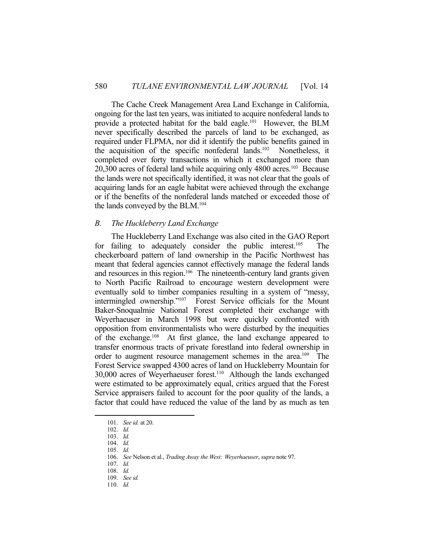The Cache Creek Management Area Land Exchange in California, ongoing for the last ten years, was initiated to acquire nonfederal lands to provide a protected habitat for the bald eagle.101 However, the BLM never specifically described the parcels of land to be exchanged, as required under FLPMA, nor did it identify the public benefits gained in the acquisition of the specific nonfederal lands.102 Nonetheless, it completed over forty transactions in which it exchanged more than  $20,300$  acres of federal land while acquiring only  $4800$  acres.<sup>103</sup> Because the lands were not specifically identified, it was not clear that the goals of acquiring lands for an eagle habitat were achieved through the exchange or if the benefits of the nonfederal lands matched or exceeded those of the lands conveyed by the BLM.104

#### *B. The Huckleberry Land Exchange*

 The Huckleberry Land Exchange was also cited in the GAO Report for failing to adequately consider the public interest.<sup>105</sup> The checkerboard pattern of land ownership in the Pacific Northwest has meant that federal agencies cannot effectively manage the federal lands and resources in this region.<sup>106</sup> The nineteenth-century land grants given to North Pacific Railroad to encourage western development were eventually sold to timber companies resulting in a system of "messy, intermingled ownership."107 Forest Service officials for the Mount Baker-Snoqualmie National Forest completed their exchange with Weyerhaeuser in March 1998 but were quickly confronted with opposition from environmentalists who were disturbed by the inequities of the exchange.108 At first glance, the land exchange appeared to transfer enormous tracts of private forestland into federal ownership in order to augment resource management schemes in the area.<sup>109</sup> The Forest Service swapped 4300 acres of land on Huckleberry Mountain for 30,000 acres of Weyerhaeuser forest.110 Although the lands exchanged were estimated to be approximately equal, critics argued that the Forest Service appraisers failed to account for the poor quality of the lands, a factor that could have reduced the value of the land by as much as ten

 <sup>101.</sup> *See id.* at 20.

 <sup>102.</sup> *Id.*

 <sup>103.</sup> *Id.*

 <sup>104.</sup> *Id.*

 <sup>105.</sup> *Id.*

 <sup>106.</sup> *See* Nelson et al., *Trading Away the West: Weyerhaeuser*, *supra* note 97.

 <sup>107.</sup> *Id.*

 <sup>108.</sup> *Id.*

 <sup>109.</sup> *See id.*

 <sup>110.</sup> *Id.*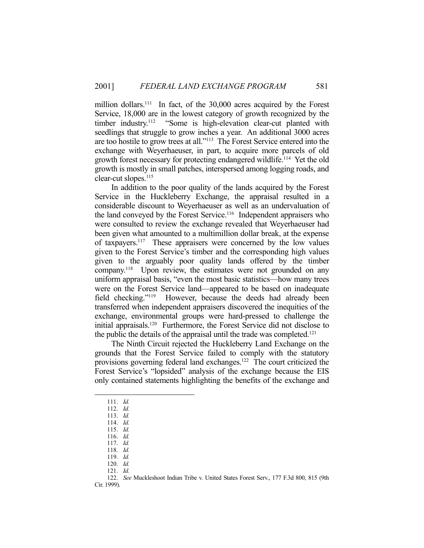million dollars.<sup>111</sup> In fact, of the 30,000 acres acquired by the Forest Service, 18,000 are in the lowest category of growth recognized by the timber industry.112 "Some is high-elevation clear-cut planted with seedlings that struggle to grow inches a year. An additional 3000 acres are too hostile to grow trees at all."113 The Forest Service entered into the exchange with Weyerhaeuser, in part, to acquire more parcels of old growth forest necessary for protecting endangered wildlife.114 Yet the old growth is mostly in small patches, interspersed among logging roads, and clear-cut slopes.<sup>115</sup>

 In addition to the poor quality of the lands acquired by the Forest Service in the Huckleberry Exchange, the appraisal resulted in a considerable discount to Weyerhaeuser as well as an undervaluation of the land conveyed by the Forest Service.<sup>116</sup> Independent appraisers who were consulted to review the exchange revealed that Weyerhaeuser had been given what amounted to a multimillion dollar break, at the expense of taxpayers.117 These appraisers were concerned by the low values given to the Forest Service's timber and the corresponding high values given to the arguably poor quality lands offered by the timber company.<sup>118</sup> Upon review, the estimates were not grounded on any uniform appraisal basis, "even the most basic statistics—how many trees were on the Forest Service land—appeared to be based on inadequate field checking."119 However, because the deeds had already been transferred when independent appraisers discovered the inequities of the exchange, environmental groups were hard-pressed to challenge the initial appraisals.120 Furthermore, the Forest Service did not disclose to the public the details of the appraisal until the trade was completed.<sup>121</sup>

 The Ninth Circuit rejected the Huckleberry Land Exchange on the grounds that the Forest Service failed to comply with the statutory provisions governing federal land exchanges.122 The court criticized the Forest Service's "lopsided" analysis of the exchange because the EIS only contained statements highlighting the benefits of the exchange and

<u>.</u>

 122. *See* Muckleshoot Indian Tribe v. United States Forest Serv., 177 F.3d 800, 815 (9th Cir. 1999).

 <sup>111.</sup> *Id.*

 <sup>112.</sup> *Id.*

 <sup>113.</sup> *Id.*

 <sup>114.</sup> *Id.* 115. *Id.*

 <sup>116.</sup> *Id.*

 <sup>117.</sup> *Id.*

 <sup>118.</sup> *Id.*

 <sup>119.</sup> *Id.*

 <sup>120.</sup> *Id.*

 <sup>121.</sup> *Id.*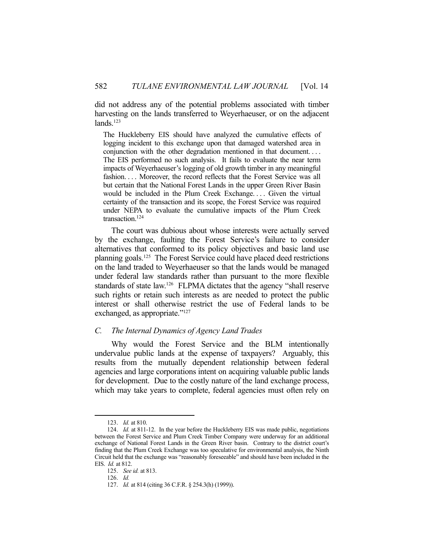did not address any of the potential problems associated with timber harvesting on the lands transferred to Weyerhaeuser, or on the adjacent lands.123

The Huckleberry EIS should have analyzed the cumulative effects of logging incident to this exchange upon that damaged watershed area in conjunction with the other degradation mentioned in that document. . . . The EIS performed no such analysis. It fails to evaluate the near term impacts of Weyerhaeuser's logging of old growth timber in any meaningful fashion. . . . Moreover, the record reflects that the Forest Service was all but certain that the National Forest Lands in the upper Green River Basin would be included in the Plum Creek Exchange.... Given the virtual certainty of the transaction and its scope, the Forest Service was required under NEPA to evaluate the cumulative impacts of the Plum Creek transaction.<sup>124</sup>

 The court was dubious about whose interests were actually served by the exchange, faulting the Forest Service's failure to consider alternatives that conformed to its policy objectives and basic land use planning goals.125 The Forest Service could have placed deed restrictions on the land traded to Weyerhaeuser so that the lands would be managed under federal law standards rather than pursuant to the more flexible standards of state law.<sup>126</sup> FLPMA dictates that the agency "shall reserve such rights or retain such interests as are needed to protect the public interest or shall otherwise restrict the use of Federal lands to be exchanged, as appropriate."<sup>127</sup>

# *C. The Internal Dynamics of Agency Land Trades*

 Why would the Forest Service and the BLM intentionally undervalue public lands at the expense of taxpayers? Arguably, this results from the mutually dependent relationship between federal agencies and large corporations intent on acquiring valuable public lands for development. Due to the costly nature of the land exchange process, which may take years to complete, federal agencies must often rely on

 <sup>123.</sup> *Id.* at 810.

 <sup>124.</sup> *Id.* at 811-12. In the year before the Huckleberry EIS was made public, negotiations between the Forest Service and Plum Creek Timber Company were underway for an additional exchange of National Forest Lands in the Green River basin. Contrary to the district court's finding that the Plum Creek Exchange was too speculative for environmental analysis, the Ninth Circuit held that the exchange was "reasonably foreseeable" and should have been included in the EIS. *Id.* at 812.

 <sup>125.</sup> *See id.* at 813.

 <sup>126.</sup> *Id.*

 <sup>127.</sup> *Id.* at 814 (citing 36 C.F.R. § 254.3(h) (1999)).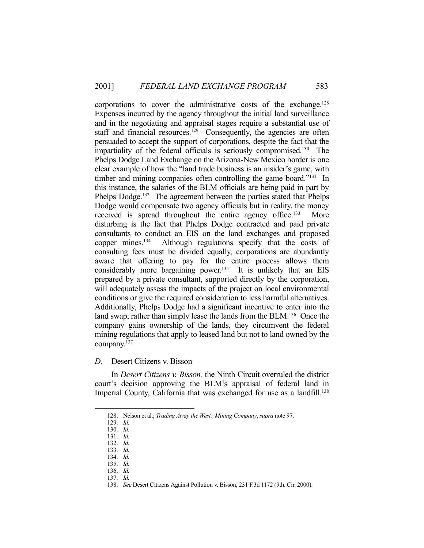corporations to cover the administrative costs of the exchange.128 Expenses incurred by the agency throughout the initial land surveillance and in the negotiating and appraisal stages require a substantial use of staff and financial resources.<sup>129</sup> Consequently, the agencies are often persuaded to accept the support of corporations, despite the fact that the impartiality of the federal officials is seriously compromised.130 The Phelps Dodge Land Exchange on the Arizona-New Mexico border is one clear example of how the "land trade business is an insider's game, with timber and mining companies often controlling the game board."<sup>131</sup> In this instance, the salaries of the BLM officials are being paid in part by Phelps Dodge.<sup>132</sup> The agreement between the parties stated that Phelps Dodge would compensate two agency officials but in reality, the money received is spread throughout the entire agency office.<sup>133</sup> More disturbing is the fact that Phelps Dodge contracted and paid private consultants to conduct an EIS on the land exchanges and proposed copper mines.134 Although regulations specify that the costs of consulting fees must be divided equally, corporations are abundantly aware that offering to pay for the entire process allows them considerably more bargaining power.<sup>135</sup> It is unlikely that an EIS prepared by a private consultant, supported directly by the corporation, will adequately assess the impacts of the project on local environmental conditions or give the required consideration to less harmful alternatives. Additionally, Phelps Dodge had a significant incentive to enter into the land swap, rather than simply lease the lands from the BLM.<sup>136</sup> Once the company gains ownership of the lands, they circumvent the federal mining regulations that apply to leased land but not to land owned by the company.137

# *D.* Desert Citizens v. Bisson

 In *Desert Citizens v. Bisson,* the Ninth Circuit overruled the district court's decision approving the BLM's appraisal of federal land in Imperial County, California that was exchanged for use as a landfill.<sup>138</sup>

 <sup>128.</sup> Nelson et al., *Trading Away the West: Mining Company*, *supra* note 97.

 <sup>129.</sup> *Id.*

 <sup>130.</sup> *Id.* 131. *Id.*

 <sup>132.</sup> *Id.*

 <sup>133.</sup> *Id.*

 <sup>134.</sup> *Id.*

 <sup>135.</sup> *Id.*

 <sup>136.</sup> *Id.*

 <sup>137.</sup> *Id.*

 <sup>138.</sup> *See* Desert Citizens Against Pollution v. Bisson, 231 F.3d 1172 (9th. Cir. 2000).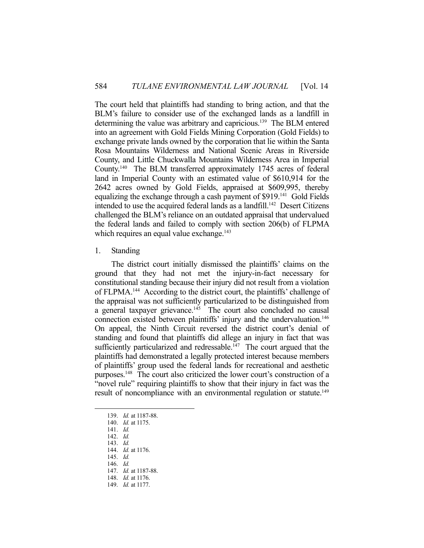The court held that plaintiffs had standing to bring action, and that the BLM's failure to consider use of the exchanged lands as a landfill in determining the value was arbitrary and capricious.139 The BLM entered into an agreement with Gold Fields Mining Corporation (Gold Fields) to exchange private lands owned by the corporation that lie within the Santa Rosa Mountains Wilderness and National Scenic Areas in Riverside County, and Little Chuckwalla Mountains Wilderness Area in Imperial County.140 The BLM transferred approximately 1745 acres of federal land in Imperial County with an estimated value of \$610,914 for the 2642 acres owned by Gold Fields, appraised at \$609,995, thereby equalizing the exchange through a cash payment of \$919.141 Gold Fields intended to use the acquired federal lands as a landfill.<sup>142</sup> Desert Citizens challenged the BLM's reliance on an outdated appraisal that undervalued the federal lands and failed to comply with section 206(b) of FLPMA which requires an equal value exchange.<sup>143</sup>

# 1. Standing

 The district court initially dismissed the plaintiffs' claims on the ground that they had not met the injury-in-fact necessary for constitutional standing because their injury did not result from a violation of FLPMA.<sup>144</sup> According to the district court, the plaintiffs' challenge of the appraisal was not sufficiently particularized to be distinguished from a general taxpayer grievance. $145$  The court also concluded no causal connection existed between plaintiffs' injury and the undervaluation.<sup>146</sup> On appeal, the Ninth Circuit reversed the district court's denial of standing and found that plaintiffs did allege an injury in fact that was sufficiently particularized and redressable.<sup>147</sup> The court argued that the plaintiffs had demonstrated a legally protected interest because members of plaintiffs' group used the federal lands for recreational and aesthetic purposes.148 The court also criticized the lower court's construction of a "novel rule" requiring plaintiffs to show that their injury in fact was the result of noncompliance with an environmental regulation or statute.<sup>149</sup>

 <sup>139.</sup> *Id.* at 1187-88.

 <sup>140.</sup> *Id.* at 1175.

 <sup>141.</sup> *Id.*

 <sup>142.</sup> *Id.*

 <sup>143.</sup> *Id.* 144. *Id.* at 1176.

 <sup>145.</sup> *Id.*

 <sup>146.</sup> *Id.*

 <sup>147.</sup> *Id.* at 1187-88.

 <sup>148.</sup> *Id.* at 1176.

 <sup>149.</sup> *Id.* at 1177.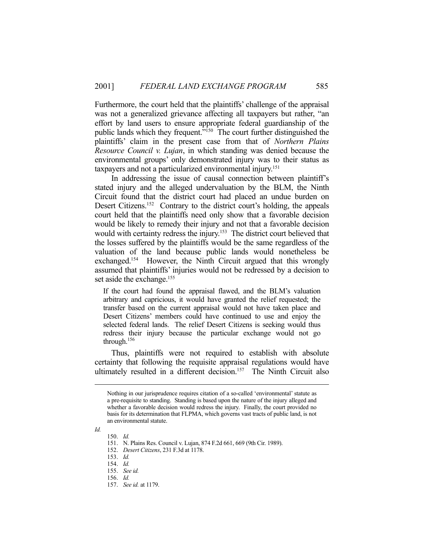Furthermore, the court held that the plaintiffs' challenge of the appraisal was not a generalized grievance affecting all taxpayers but rather, "an effort by land users to ensure appropriate federal guardianship of the public lands which they frequent."<sup>150</sup> The court further distinguished the plaintiffs' claim in the present case from that of *Northern Plains Resource Council v. Lujan*, in which standing was denied because the environmental groups' only demonstrated injury was to their status as taxpayers and not a particularized environmental injury.<sup>151</sup>

 In addressing the issue of causal connection between plaintiff's stated injury and the alleged undervaluation by the BLM, the Ninth Circuit found that the district court had placed an undue burden on Desert Citizens.<sup>152</sup> Contrary to the district court's holding, the appeals court held that the plaintiffs need only show that a favorable decision would be likely to remedy their injury and not that a favorable decision would with certainty redress the injury.<sup>153</sup> The district court believed that the losses suffered by the plaintiffs would be the same regardless of the valuation of the land because public lands would nonetheless be exchanged.154 However, the Ninth Circuit argued that this wrongly assumed that plaintiffs' injuries would not be redressed by a decision to set aside the exchange.<sup>155</sup>

If the court had found the appraisal flawed, and the BLM's valuation arbitrary and capricious, it would have granted the relief requested; the transfer based on the current appraisal would not have taken place and Desert Citizens' members could have continued to use and enjoy the selected federal lands. The relief Desert Citizens is seeking would thus redress their injury because the particular exchange would not go through.156

 Thus, plaintiffs were not required to establish with absolute certainty that following the requisite appraisal regulations would have ultimately resulted in a different decision.<sup>157</sup> The Ninth Circuit also

*Id.*

Nothing in our jurisprudence requires citation of a so-called 'environmental' statute as a pre-requisite to standing. Standing is based upon the nature of the injury alleged and whether a favorable decision would redress the injury. Finally, the court provided no basis for its determination that FLPMA, which governs vast tracts of public land, is not an environmental statute.

 <sup>150.</sup> *Id.*

 <sup>151.</sup> N. Plains Res. Council v. Lujan, 874 F.2d 661, 669 (9th Cir. 1989).

 <sup>152.</sup> *Desert Citizens*, 231 F.3d at 1178.

 <sup>153.</sup> *Id.*

 <sup>154.</sup> *Id.*

 <sup>155.</sup> *See id.*

 <sup>156.</sup> *Id.*

 <sup>157.</sup> *See id.* at 1179.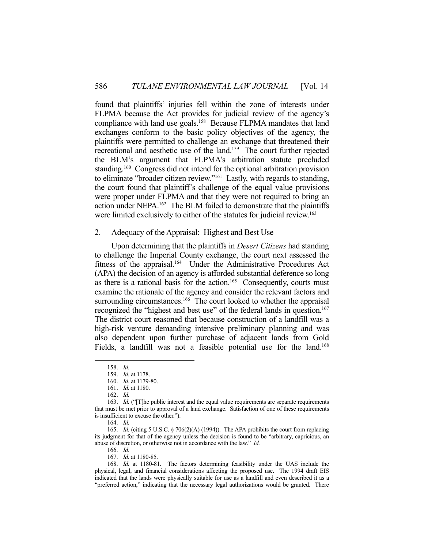found that plaintiffs' injuries fell within the zone of interests under FLPMA because the Act provides for judicial review of the agency's compliance with land use goals.158 Because FLPMA mandates that land exchanges conform to the basic policy objectives of the agency, the plaintiffs were permitted to challenge an exchange that threatened their recreational and aesthetic use of the land.159 The court further rejected the BLM's argument that FLPMA's arbitration statute precluded standing.<sup>160</sup> Congress did not intend for the optional arbitration provision to eliminate "broader citizen review."161 Lastly, with regards to standing, the court found that plaintiff's challenge of the equal value provisions were proper under FLPMA and that they were not required to bring an action under NEPA.162 The BLM failed to demonstrate that the plaintiffs were limited exclusively to either of the statutes for judicial review.<sup>163</sup>

#### 2. Adequacy of the Appraisal: Highest and Best Use

 Upon determining that the plaintiffs in *Desert Citizens* had standing to challenge the Imperial County exchange, the court next assessed the fitness of the appraisal.164 Under the Administrative Procedures Act (APA) the decision of an agency is afforded substantial deference so long as there is a rational basis for the action.<sup>165</sup> Consequently, courts must examine the rationale of the agency and consider the relevant factors and surrounding circumstances.<sup>166</sup> The court looked to whether the appraisal recognized the "highest and best use" of the federal lands in question.<sup>167</sup> The district court reasoned that because construction of a landfill was a high-risk venture demanding intensive preliminary planning and was also dependent upon further purchase of adjacent lands from Gold Fields, a landfill was not a feasible potential use for the land.<sup>168</sup>

 <sup>158.</sup> *Id.*

 <sup>159.</sup> *Id.* at 1178.

 <sup>160.</sup> *Id.* at 1179-80.

 <sup>161.</sup> *Id.* at 1180.

 <sup>162.</sup> *Id.*

<sup>163.</sup> *Id.* ("The public interest and the equal value requirements are separate requirements that must be met prior to approval of a land exchange. Satisfaction of one of these requirements is insufficient to excuse the other.").

 <sup>164.</sup> *Id.*

 <sup>165.</sup> *Id.* (citing 5 U.S.C. § 706(2)(A) (1994)). The APA prohibits the court from replacing its judgment for that of the agency unless the decision is found to be "arbitrary, capricious, an abuse of discretion, or otherwise not in accordance with the law." *Id.*

 <sup>166.</sup> *Id.*

 <sup>167.</sup> *Id.* at 1180-85.

 <sup>168.</sup> *Id.* at 1180-81. The factors determining feasibility under the UAS include the physical, legal, and financial considerations affecting the proposed use. The 1994 draft EIS indicated that the lands were physically suitable for use as a landfill and even described it as a "preferred action," indicating that the necessary legal authorizations would be granted. There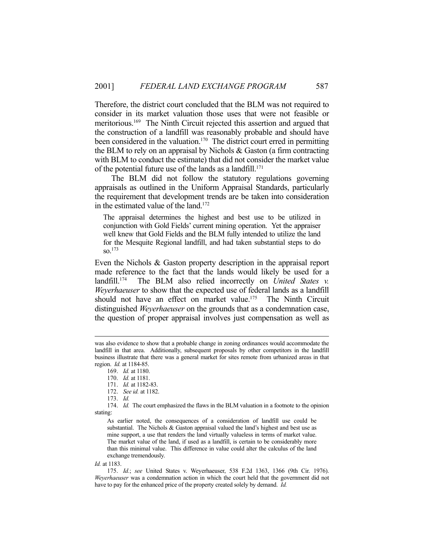Therefore, the district court concluded that the BLM was not required to consider in its market valuation those uses that were not feasible or meritorious.169 The Ninth Circuit rejected this assertion and argued that the construction of a landfill was reasonably probable and should have been considered in the valuation.<sup>170</sup> The district court erred in permitting the BLM to rely on an appraisal by Nichols & Gaston (a firm contracting with BLM to conduct the estimate) that did not consider the market value of the potential future use of the lands as a landfill.<sup>171</sup>

 The BLM did not follow the statutory regulations governing appraisals as outlined in the Uniform Appraisal Standards, particularly the requirement that development trends are be taken into consideration in the estimated value of the land.172

The appraisal determines the highest and best use to be utilized in conjunction with Gold Fields' current mining operation. Yet the appraiser well knew that Gold Fields and the BLM fully intended to utilize the land for the Mesquite Regional landfill, and had taken substantial steps to do so.173

Even the Nichols & Gaston property description in the appraisal report made reference to the fact that the lands would likely be used for a landfill.<sup>174</sup> The BLM also relied incorrectly on *United States v. Weyerhaeuser* to show that the expected use of federal lands as a landfill should not have an effect on market value.<sup>175</sup> The Ninth Circuit distinguished *Weyerhaeuser* on the grounds that as a condemnation case, the question of proper appraisal involves just compensation as well as

 174. *Id.* The court emphasized the flaws in the BLM valuation in a footnote to the opinion stating:

As earlier noted, the consequences of a consideration of landfill use could be substantial. The Nichols  $\&$  Gaston appraisal valued the land's highest and best use as mine support, a use that renders the land virtually valueless in terms of market value. The market value of the land, if used as a landfill, is certain to be considerably more than this minimal value. This difference in value could alter the calculus of the land exchange tremendously.

*Id.* at 1183.

 175. *Id.*; *see* United States v. Weyerhaeuser, 538 F.2d 1363, 1366 (9th Cir. 1976). *Weyerhaeuser* was a condemnation action in which the court held that the government did not have to pay for the enhanced price of the property created solely by demand. *Id.*

was also evidence to show that a probable change in zoning ordinances would accommodate the landfill in that area. Additionally, subsequent proposals by other competitors in the landfill business illustrate that there was a general market for sites remote from urbanized areas in that region. *Id.* at 1184-85.

 <sup>169.</sup> *Id.* at 1180.

 <sup>170.</sup> *Id.* at 1181.

 <sup>171.</sup> *Id.* at 1182-83.

 <sup>172.</sup> *See id.* at 1182.

 <sup>173.</sup> *Id.*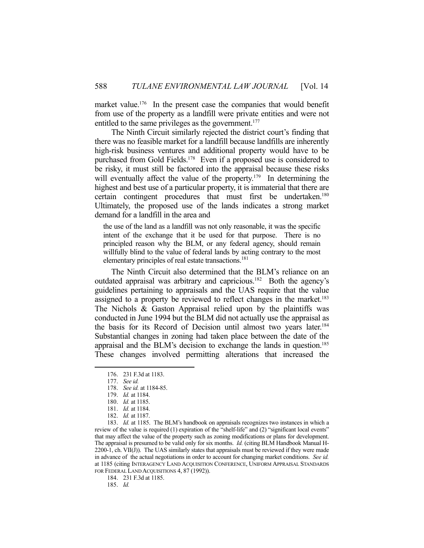market value.<sup>176</sup> In the present case the companies that would benefit from use of the property as a landfill were private entities and were not entitled to the same privileges as the government.<sup>177</sup>

 The Ninth Circuit similarly rejected the district court's finding that there was no feasible market for a landfill because landfills are inherently high-risk business ventures and additional property would have to be purchased from Gold Fields.<sup>178</sup> Even if a proposed use is considered to be risky, it must still be factored into the appraisal because these risks will eventually affect the value of the property.<sup>179</sup> In determining the highest and best use of a particular property, it is immaterial that there are certain contingent procedures that must first be undertaken.<sup>180</sup> Ultimately, the proposed use of the lands indicates a strong market demand for a landfill in the area and

the use of the land as a landfill was not only reasonable, it was the specific intent of the exchange that it be used for that purpose. There is no principled reason why the BLM, or any federal agency, should remain willfully blind to the value of federal lands by acting contrary to the most elementary principles of real estate transactions.<sup>181</sup>

 The Ninth Circuit also determined that the BLM's reliance on an outdated appraisal was arbitrary and capricious.182 Both the agency's guidelines pertaining to appraisals and the UAS require that the value assigned to a property be reviewed to reflect changes in the market.<sup>183</sup> The Nichols & Gaston Appraisal relied upon by the plaintiffs was conducted in June 1994 but the BLM did not actually use the appraisal as the basis for its Record of Decision until almost two years later.<sup>184</sup> Substantial changes in zoning had taken place between the date of the appraisal and the BLM's decision to exchange the lands in question.<sup>185</sup> These changes involved permitting alterations that increased the

1

 183. *Id.* at 1185. The BLM's handbook on appraisals recognizes two instances in which a review of the value is required (1) expiration of the "shelf-life" and (2) "significant local events" that may affect the value of the property such as zoning modifications or plans for development. The appraisal is presumed to be valid only for six months. *Id.* (citing BLM Handbook Manual H- $2200-1$ , ch. VII(J)). The UAS similarly states that appraisals must be reviewed if they were made in advance of the actual negotiations in order to account for changing market conditions. *See id.* at 1185 (citing INTERAGENCY LAND ACQUISITION CONFERENCE, UNIFORM APPRAISAL STANDARDS FOR FEDERAL LAND ACQUISITIONS 4, 87 (1992)).

184. 231 F.3d at 1185.

185. *Id.*

 <sup>176. 231</sup> F.3d at 1183.

 <sup>177.</sup> *See id.*

 <sup>178.</sup> *See id.* at 1184-85.

 <sup>179.</sup> *Id.* at 1184.

 <sup>180.</sup> *Id.* at 1185.

 <sup>181.</sup> *Id.* at 1184.

 <sup>182.</sup> *Id.* at 1187.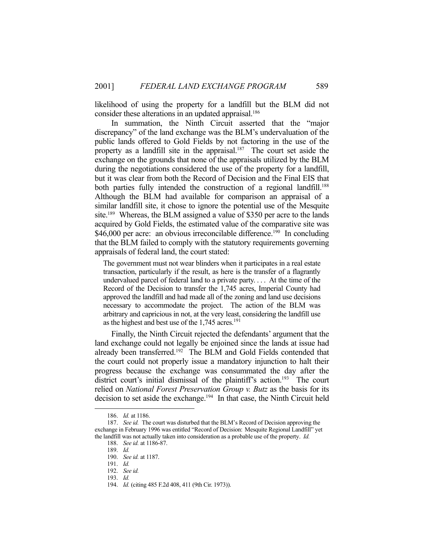likelihood of using the property for a landfill but the BLM did not consider these alterations in an updated appraisal.<sup>186</sup>

 In summation, the Ninth Circuit asserted that the "major discrepancy" of the land exchange was the BLM's undervaluation of the public lands offered to Gold Fields by not factoring in the use of the property as a landfill site in the appraisal.<sup>187</sup> The court set aside the exchange on the grounds that none of the appraisals utilized by the BLM during the negotiations considered the use of the property for a landfill, but it was clear from both the Record of Decision and the Final EIS that both parties fully intended the construction of a regional landfill.<sup>188</sup> Although the BLM had available for comparison an appraisal of a similar landfill site, it chose to ignore the potential use of the Mesquite site.<sup>189</sup> Whereas, the BLM assigned a value of \$350 per acre to the lands acquired by Gold Fields, the estimated value of the comparative site was \$46,000 per acre: an obvious irreconcilable difference.<sup>190</sup> In concluding that the BLM failed to comply with the statutory requirements governing appraisals of federal land, the court stated:

The government must not wear blinders when it participates in a real estate transaction, particularly if the result, as here is the transfer of a flagrantly undervalued parcel of federal land to a private party. . . . At the time of the Record of the Decision to transfer the 1,745 acres, Imperial County had approved the landfill and had made all of the zoning and land use decisions necessary to accommodate the project. The action of the BLM was arbitrary and capricious in not, at the very least, considering the landfill use as the highest and best use of the  $1,745$  acres.<sup>191</sup>

 Finally, the Ninth Circuit rejected the defendants' argument that the land exchange could not legally be enjoined since the lands at issue had already been transferred.<sup>192</sup> The BLM and Gold Fields contended that the court could not properly issue a mandatory injunction to halt their progress because the exchange was consummated the day after the district court's initial dismissal of the plaintiff's action.<sup>193</sup> The court relied on *National Forest Preservation Group v. Butz* as the basis for its decision to set aside the exchange.194 In that case, the Ninth Circuit held

 <sup>186.</sup> *Id.* at 1186.

 <sup>187.</sup> *See id.* The court was disturbed that the BLM's Record of Decision approving the exchange in February 1996 was entitled "Record of Decision: Mesquite Regional Landfill" yet the landfill was not actually taken into consideration as a probable use of the property. *Id.*

 <sup>188.</sup> *See id.* at 1186-87.

 <sup>189.</sup> *Id.*

 <sup>190.</sup> *See id.* at 1187.

 <sup>191.</sup> *Id.*

 <sup>192.</sup> *See id.*

 <sup>193.</sup> *Id.*

 <sup>194.</sup> *Id.* (citing 485 F.2d 408, 411 (9th Cir. 1973)).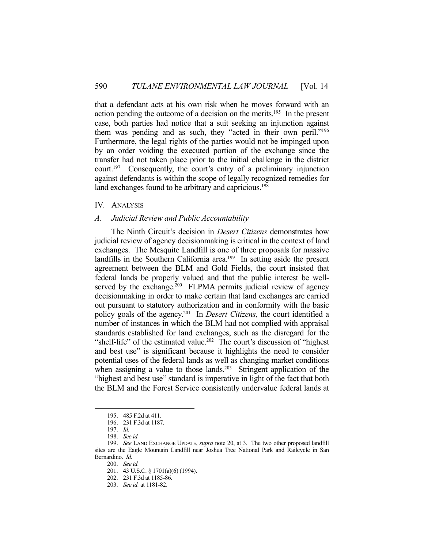that a defendant acts at his own risk when he moves forward with an action pending the outcome of a decision on the merits.195 In the present case, both parties had notice that a suit seeking an injunction against them was pending and as such, they "acted in their own peril."<sup>196</sup> Furthermore, the legal rights of the parties would not be impinged upon by an order voiding the executed portion of the exchange since the transfer had not taken place prior to the initial challenge in the district court.<sup>197</sup> Consequently, the court's entry of a preliminary injunction against defendants is within the scope of legally recognized remedies for land exchanges found to be arbitrary and capricious.<sup>198</sup>

#### IV. ANALYSIS

#### *A. Judicial Review and Public Accountability*

 The Ninth Circuit's decision in *Desert Citizens* demonstrates how judicial review of agency decisionmaking is critical in the context of land exchanges. The Mesquite Landfill is one of three proposals for massive landfills in the Southern California area.<sup>199</sup> In setting aside the present agreement between the BLM and Gold Fields, the court insisted that federal lands be properly valued and that the public interest be wellserved by the exchange.<sup>200</sup> FLPMA permits judicial review of agency decisionmaking in order to make certain that land exchanges are carried out pursuant to statutory authorization and in conformity with the basic policy goals of the agency.201 In *Desert Citizens*, the court identified a number of instances in which the BLM had not complied with appraisal standards established for land exchanges, such as the disregard for the "shelf-life" of the estimated value.<sup>202</sup> The court's discussion of "highest" and best use" is significant because it highlights the need to consider potential uses of the federal lands as well as changing market conditions when assigning a value to those lands.<sup>203</sup> Stringent application of the "highest and best use" standard is imperative in light of the fact that both the BLM and the Forest Service consistently undervalue federal lands at

 <sup>195. 485</sup> F.2d at 411.

 <sup>196. 231</sup> F.3d at 1187.

 <sup>197.</sup> *Id.*

 <sup>198.</sup> *See id.*

 <sup>199.</sup> *See* LAND EXCHANGE UPDATE, *supra* note 20, at 3. The two other proposed landfill sites are the Eagle Mountain Landfill near Joshua Tree National Park and Railcycle in San Bernardino. *Id.*

 <sup>200.</sup> *See id.*

 <sup>201. 43</sup> U.S.C. § 1701(a)(6) (1994).

 <sup>202. 231</sup> F.3d at 1185-86.

 <sup>203.</sup> *See id.* at 1181-82.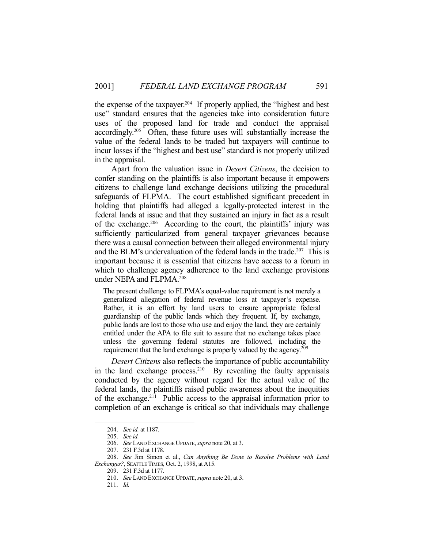the expense of the taxpayer.<sup>204</sup> If properly applied, the "highest and best" use" standard ensures that the agencies take into consideration future uses of the proposed land for trade and conduct the appraisal accordingly.205 Often, these future uses will substantially increase the value of the federal lands to be traded but taxpayers will continue to incur losses if the "highest and best use" standard is not properly utilized in the appraisal.

 Apart from the valuation issue in *Desert Citizens*, the decision to confer standing on the plaintiffs is also important because it empowers citizens to challenge land exchange decisions utilizing the procedural safeguards of FLPMA. The court established significant precedent in holding that plaintiffs had alleged a legally-protected interest in the federal lands at issue and that they sustained an injury in fact as a result of the exchange.206 According to the court, the plaintiffs' injury was sufficiently particularized from general taxpayer grievances because there was a causal connection between their alleged environmental injury and the BLM's undervaluation of the federal lands in the trade.<sup>207</sup> This is important because it is essential that citizens have access to a forum in which to challenge agency adherence to the land exchange provisions under NEPA and FLPMA.<sup>208</sup>

The present challenge to FLPMA's equal-value requirement is not merely a generalized allegation of federal revenue loss at taxpayer's expense. Rather, it is an effort by land users to ensure appropriate federal guardianship of the public lands which they frequent. If, by exchange, public lands are lost to those who use and enjoy the land, they are certainly entitled under the APA to file suit to assure that no exchange takes place unless the governing federal statutes are followed, including the requirement that the land exchange is properly valued by the agency.<sup>209</sup>

*Desert Citizens* also reflects the importance of public accountability in the land exchange process.<sup>210</sup> By revealing the faulty appraisals conducted by the agency without regard for the actual value of the federal lands, the plaintiffs raised public awareness about the inequities of the exchange.211 Public access to the appraisal information prior to completion of an exchange is critical so that individuals may challenge

 <sup>204.</sup> *See id.* at 1187.

 <sup>205.</sup> *See id.*

 <sup>206.</sup> *See* LAND EXCHANGE UPDATE,*supra* note 20, at 3.

 <sup>207. 231</sup> F.3d at 1178.

 <sup>208.</sup> *See* Jim Simon et al., *Can Anything Be Done to Resolve Problems with Land Exchanges?*, SEATTLE TIMES, Oct. 2, 1998, at A15.

 <sup>209. 231</sup> F.3d at 1177.

 <sup>210.</sup> *See* LAND EXCHANGE UPDATE, *supra* note 20, at 3.

 <sup>211.</sup> *Id.*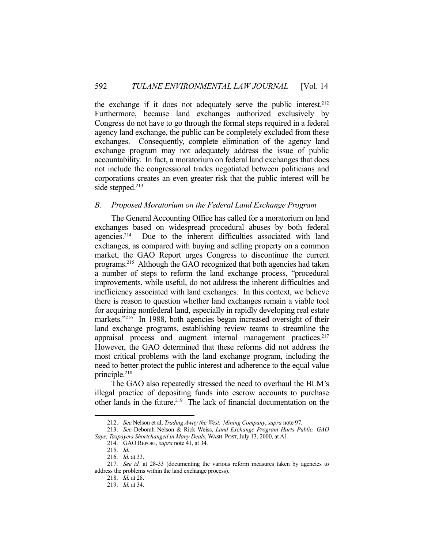the exchange if it does not adequately serve the public interest.<sup>212</sup> Furthermore, because land exchanges authorized exclusively by Congress do not have to go through the formal steps required in a federal agency land exchange, the public can be completely excluded from these exchanges. Consequently, complete elimination of the agency land exchange program may not adequately address the issue of public accountability. In fact, a moratorium on federal land exchanges that does not include the congressional trades negotiated between politicians and corporations creates an even greater risk that the public interest will be side stepped.<sup>213</sup>

# *B. Proposed Moratorium on the Federal Land Exchange Program*

 The General Accounting Office has called for a moratorium on land exchanges based on widespread procedural abuses by both federal agencies.214 Due to the inherent difficulties associated with land exchanges, as compared with buying and selling property on a common market, the GAO Report urges Congress to discontinue the current programs.215 Although the GAO recognized that both agencies had taken a number of steps to reform the land exchange process, "procedural improvements, while useful, do not address the inherent difficulties and inefficiency associated with land exchanges. In this context, we believe there is reason to question whether land exchanges remain a viable tool for acquiring nonfederal land, especially in rapidly developing real estate markets."<sup>216</sup> In 1988, both agencies began increased oversight of their land exchange programs, establishing review teams to streamline the appraisal process and augment internal management practices.<sup>217</sup> However, the GAO determined that these reforms did not address the most critical problems with the land exchange program, including the need to better protect the public interest and adherence to the equal value principle.218

 The GAO also repeatedly stressed the need to overhaul the BLM's illegal practice of depositing funds into escrow accounts to purchase other lands in the future.<sup>219</sup> The lack of financial documentation on the

 <sup>212.</sup> *See* Nelson et al, *Trading Away the West: Mining Company*, *supra* note 97.

 <sup>213.</sup> *See* Deborah Nelson & Rick Weiss, *Land Exchange Program Hurts Public, GAO Says; Taxpayers Shortchanged in Many Deals*, WASH. POST,July 13, 2000, at A1.

 <sup>214.</sup> GAO REPORT, *supra* note 41, at 34.

 <sup>215.</sup> *Id.*

 <sup>216.</sup> *Id.* at 33.

 <sup>217.</sup> *See id.* at 28-33 (documenting the various reform measures taken by agencies to address the problems within the land exchange process).

 <sup>218.</sup> *Id.* at 28.

 <sup>219.</sup> *Id.* at 34.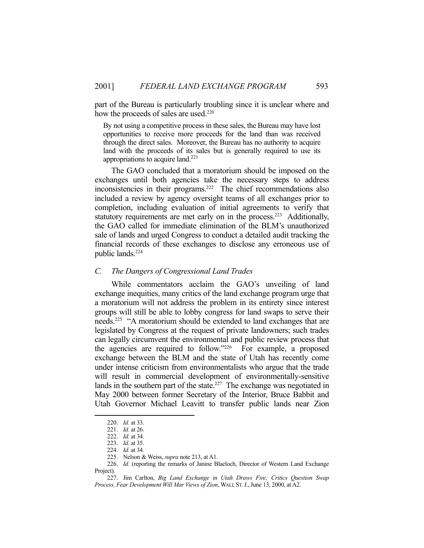part of the Bureau is particularly troubling since it is unclear where and how the proceeds of sales are used.<sup>220</sup>

By not using a competitive process in these sales, the Bureau may have lost opportunities to receive more proceeds for the land than was received through the direct sales. Moreover, the Bureau has no authority to acquire land with the proceeds of its sales but is generally required to use its appropriations to acquire land.221

 The GAO concluded that a moratorium should be imposed on the exchanges until both agencies take the necessary steps to address inconsistencies in their programs.<sup>222</sup> The chief recommendations also included a review by agency oversight teams of all exchanges prior to completion, including evaluation of initial agreements to verify that statutory requirements are met early on in the process.<sup>223</sup> Additionally, the GAO called for immediate elimination of the BLM's unauthorized sale of lands and urged Congress to conduct a detailed audit tracking the financial records of these exchanges to disclose any erroneous use of public lands.224

#### *C. The Dangers of Congressional Land Trades*

 While commentators acclaim the GAO's unveiling of land exchange inequities, many critics of the land exchange program urge that a moratorium will not address the problem in its entirety since interest groups will still be able to lobby congress for land swaps to serve their needs.225 "A moratorium should be extended to land exchanges that are legislated by Congress at the request of private landowners; such trades can legally circumvent the environmental and public review process that the agencies are required to follow."226 For example, a proposed exchange between the BLM and the state of Utah has recently come under intense criticism from environmentalists who argue that the trade will result in commercial development of environmentally-sensitive lands in the southern part of the state.<sup>227</sup> The exchange was negotiated in May 2000 between former Secretary of the Interior, Bruce Babbit and Utah Governor Michael Leavitt to transfer public lands near Zion

 <sup>220.</sup> *Id.* at 33.

 <sup>221.</sup> *Id.* at 26.

 <sup>222.</sup> *Id.* at 34.

 <sup>223.</sup> *Id.* at 35.

 <sup>224.</sup> *Id.* at 34.

 <sup>225.</sup> Nelson & Weiss, *supra* note 213, at A1.

 <sup>226.</sup> *Id.* (reporting the remarks of Janine Blaeloch, Director of Western Land Exchange Project).

 <sup>227.</sup> Jim Carlton, *Big Land Exchange in Utah Draws Fire; Critics Question Swap Process, Fear Development Will Mar Views of Zion*, WALL ST.J.,June 13, 2000, at A2.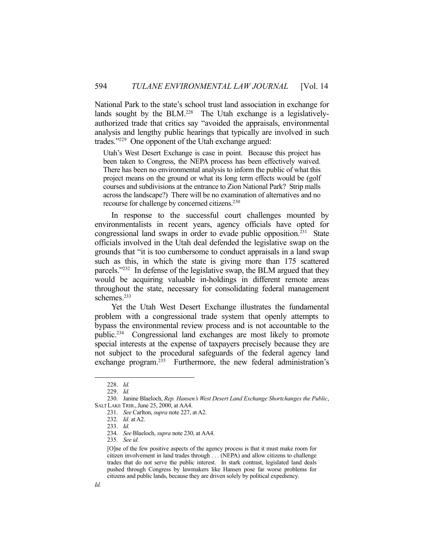National Park to the state's school trust land association in exchange for lands sought by the BLM.<sup>228</sup> The Utah exchange is a legislativelyauthorized trade that critics say "avoided the appraisals, environmental analysis and lengthy public hearings that typically are involved in such trades."229 One opponent of the Utah exchange argued:

Utah's West Desert Exchange is case in point. Because this project has been taken to Congress, the NEPA process has been effectively waived. There has been no environmental analysis to inform the public of what this project means on the ground or what its long term effects would be (golf courses and subdivisions at the entrance to Zion National Park? Strip malls across the landscape?) There will be no examination of alternatives and no recourse for challenge by concerned citizens.<sup>230</sup>

 In response to the successful court challenges mounted by environmentalists in recent years, agency officials have opted for congressional land swaps in order to evade public opposition.231 State officials involved in the Utah deal defended the legislative swap on the grounds that "it is too cumbersome to conduct appraisals in a land swap such as this, in which the state is giving more than 175 scattered parcels."232 In defense of the legislative swap, the BLM argued that they would be acquiring valuable in-holdings in different remote areas throughout the state, necessary for consolidating federal management schemes.<sup>233</sup>

 Yet the Utah West Desert Exchange illustrates the fundamental problem with a congressional trade system that openly attempts to bypass the environmental review process and is not accountable to the public.234 Congressional land exchanges are most likely to promote special interests at the expense of taxpayers precisely because they are not subject to the procedural safeguards of the federal agency land exchange program.235 Furthermore, the new federal administration's

 <sup>228.</sup> *Id.*

 <sup>229.</sup> *Id.*

 <sup>230.</sup> Janine Blaeloch, *Rep. Hansen's West Desert Land Exchange Shortchanges the Public*, SALT LAKE TRIB., June 25, 2000, at AA4.

 <sup>231.</sup> *See* Carlton, *supra* note 227, at A2.

 <sup>232.</sup> *Id.* at A2.

 <sup>233.</sup> *Id.*

 <sup>234.</sup> *See* Blaeloch, *supra* note 230, at AA4.

 <sup>235.</sup> *See id.*

<sup>[</sup>O]ne of the few positive aspects of the agency process is that it must make room for citizen involvement in land trades through . . . (NEPA) and allow citizens to challenge trades that do not serve the public interest. In stark contrast, legislated land deals pushed through Congress by lawmakers like Hansen pose far worse problems for citizens and public lands, because they are driven solely by political expediency.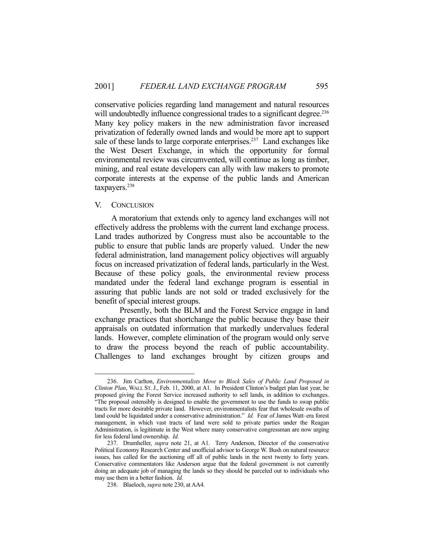conservative policies regarding land management and natural resources will undoubtedly influence congressional trades to a significant degree.<sup>236</sup> Many key policy makers in the new administration favor increased privatization of federally owned lands and would be more apt to support sale of these lands to large corporate enterprises.<sup>237</sup> Land exchanges like the West Desert Exchange, in which the opportunity for formal environmental review was circumvented, will continue as long as timber, mining, and real estate developers can ally with law makers to promote corporate interests at the expense of the public lands and American taxpayers.238

# V. CONCLUSION

1

 A moratorium that extends only to agency land exchanges will not effectively address the problems with the current land exchange process. Land trades authorized by Congress must also be accountable to the public to ensure that public lands are properly valued. Under the new federal administration, land management policy objectives will arguably focus on increased privatization of federal lands, particularly in the West. Because of these policy goals, the environmental review process mandated under the federal land exchange program is essential in assuring that public lands are not sold or traded exclusively for the benefit of special interest groups.

 Presently, both the BLM and the Forest Service engage in land exchange practices that shortchange the public because they base their appraisals on outdated information that markedly undervalues federal lands. However, complete elimination of the program would only serve to draw the process beyond the reach of public accountability. Challenges to land exchanges brought by citizen groups and

 <sup>236.</sup> Jim Carlton, *Environmentalists Move to Block Sales of Public Land Proposed in Clinton Plan*, WALL ST. J., Feb. 11, 2000, at A1. In President Clinton's budget plan last year, he proposed giving the Forest Service increased authority to sell lands, in addition to exchanges. "The proposal ostensibly is designed to enable the government to use the funds to swap public tracts for more desirable private land. However, environmentalists fear that wholesale swaths of land could be liquidated under a conservative administration." *Id.* Fear of James Watt–era forest management, in which vast tracts of land were sold to private parties under the Reagan Administration, is legitimate in the West where many conservative congressman are now urging for less federal land ownership. *Id.*

 <sup>237.</sup> Drumheller, *supra* note 21, at A1. Terry Anderson, Director of the conservative Political Economy Research Center and unofficial advisor to George W. Bush on natural resource issues, has called for the auctioning off all of public lands in the next twenty to forty years. Conservative commentators like Anderson argue that the federal government is not currently doing an adequate job of managing the lands so they should be parceled out to individuals who may use them in a better fashion. *Id.* 

 <sup>238.</sup> Blaeloch, *supra* note 230, at AA4.